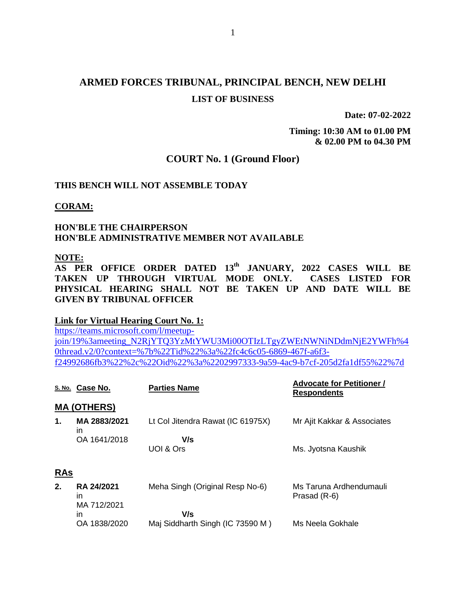# **ARMED FORCES TRIBUNAL, PRINCIPAL BENCH, NEW DELHI LIST OF BUSINESS**

**Date: 07-02-2022**

**Timing: 10:30 AM to 01.00 PM & 02.00 PM to 04.30 PM**

### **COURT No. 1 (Ground Floor)**

### **THIS BENCH WILL NOT ASSEMBLE TODAY**

### **CORAM:**

### **HON'BLE THE CHAIRPERSON HON'BLE ADMINISTRATIVE MEMBER NOT AVAILABLE**

#### **NOTE:**

**AS PER OFFICE ORDER DATED 13th JANUARY, 2022 CASES WILL BE TAKEN UP THROUGH VIRTUAL MODE ONLY. CASES LISTED FOR PHYSICAL HEARING SHALL NOT BE TAKEN UP AND DATE WILL BE GIVEN BY TRIBUNAL OFFICER**

#### **Link for Virtual Hearing Court No. 1:**

[https://teams.microsoft.com/l/meetup](https://teams.microsoft.com/l/meetup-join/19%3ameeting_N2RjYTQ3YzMtYWU3Mi00OTIzLTgyZWEtNWNiNDdmNjE2YWFh%40thread.v2/0?context=%7b%22Tid%22%3a%22fc4c6c05-6869-467f-a6f3-f24992686fb3%22%2c%22Oid%22%3a%2202997333-9a59-4ac9-b7cf-205d2fa1df55%22%7d)[join/19%3ameeting\\_N2RjYTQ3YzMtYWU3Mi00OTIzLTgyZWEtNWNiNDdmNjE2YWFh%4](https://teams.microsoft.com/l/meetup-join/19%3ameeting_N2RjYTQ3YzMtYWU3Mi00OTIzLTgyZWEtNWNiNDdmNjE2YWFh%40thread.v2/0?context=%7b%22Tid%22%3a%22fc4c6c05-6869-467f-a6f3-f24992686fb3%22%2c%22Oid%22%3a%2202997333-9a59-4ac9-b7cf-205d2fa1df55%22%7d) [0thread.v2/0?context=%7b%22Tid%22%3a%22fc4c6c05-6869-467f-a6f3](https://teams.microsoft.com/l/meetup-join/19%3ameeting_N2RjYTQ3YzMtYWU3Mi00OTIzLTgyZWEtNWNiNDdmNjE2YWFh%40thread.v2/0?context=%7b%22Tid%22%3a%22fc4c6c05-6869-467f-a6f3-f24992686fb3%22%2c%22Oid%22%3a%2202997333-9a59-4ac9-b7cf-205d2fa1df55%22%7d) [f24992686fb3%22%2c%22Oid%22%3a%2202997333-9a59-4ac9-b7cf-205d2fa1df55%22%7d](https://teams.microsoft.com/l/meetup-join/19%3ameeting_N2RjYTQ3YzMtYWU3Mi00OTIzLTgyZWEtNWNiNDdmNjE2YWFh%40thread.v2/0?context=%7b%22Tid%22%3a%22fc4c6c05-6869-467f-a6f3-f24992686fb3%22%2c%22Oid%22%3a%2202997333-9a59-4ac9-b7cf-205d2fa1df55%22%7d)

|            | S. No. Case No.                 | <b>Parties Name</b>               | <b>Advocate for Petitioner /</b><br><b>Respondents</b> |  |  |
|------------|---------------------------------|-----------------------------------|--------------------------------------------------------|--|--|
|            | <b>MA (OTHERS)</b>              |                                   |                                                        |  |  |
| 1.         | MA 2883/2021<br>in              | Lt Col Jitendra Rawat (IC 61975X) | Mr Ajit Kakkar & Associates                            |  |  |
|            | OA 1641/2018                    | V/s                               |                                                        |  |  |
|            |                                 | UOI & Ors                         | Ms. Jyotsna Kaushik                                    |  |  |
| <b>RAs</b> |                                 |                                   |                                                        |  |  |
| 2.         | RA 24/2021<br>in<br>MA 712/2021 | Meha Singh (Original Resp No-6)   | Ms Taruna Ardhendumauli<br>Prasad (R-6)                |  |  |
|            | in                              | V/s                               |                                                        |  |  |
|            | OA 1838/2020                    | Maj Siddharth Singh (IC 73590 M)  | Ms Neela Gokhale                                       |  |  |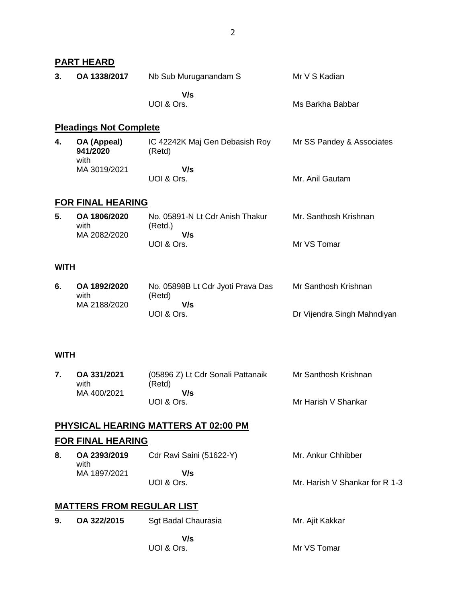|             | PART HEARD                           |                                                    |                                |
|-------------|--------------------------------------|----------------------------------------------------|--------------------------------|
| 3.          | OA 1338/2017                         | Nb Sub Muruganandam S                              | Mr V S Kadian                  |
|             |                                      | V/s<br>UOI & Ors.                                  | Ms Barkha Babbar               |
|             | <b>Pleadings Not Complete</b>        |                                                    |                                |
| 4.          | OA (Appeal)<br>941/2020<br>with      | IC 42242K Maj Gen Debasish Roy<br>(Retd)           | Mr SS Pandey & Associates      |
|             | MA 3019/2021                         | V/s<br>UOI & Ors.                                  | Mr. Anil Gautam                |
|             | FOR FINAL HEARING                    |                                                    |                                |
| 5.          | OA 1806/2020<br>with                 | No. 05891-N Lt Cdr Anish Thakur<br>(Retd.)         | Mr. Santhosh Krishnan          |
|             | MA 2082/2020                         | V/s<br>UOI & Ors.                                  | Mr VS Tomar                    |
| <b>WITH</b> |                                      |                                                    |                                |
| 6.          | OA 1892/2020<br>with<br>MA 2188/2020 | No. 05898B Lt Cdr Jyoti Prava Das<br>(Retd)<br>V/s | Mr Santhosh Krishnan           |
|             |                                      | UOI & Ors.                                         | Dr Vijendra Singh Mahndiyan    |
| WITH        |                                      |                                                    |                                |
| 7.          | OA 331/2021<br>with                  | (05896 Z) Lt Cdr Sonali Pattanaik<br>(Retd)        | Mr Santhosh Krishnan           |
|             | MA 400/2021                          | V/s<br>UOI & Ors.                                  | Mr Harish V Shankar            |
|             |                                      | <u>PHYSICAL HEARING MATTERS AT 02:00 PM</u>        |                                |
|             | <u>FOR FINAL HEARING</u>             |                                                    |                                |
| 8.          | OA 2393/2019<br>with                 | Cdr Ravi Saini (51622-Y)                           | Mr. Ankur Chhibber             |
|             | MA 1897/2021                         | V/s<br>UOI & Ors.                                  | Mr. Harish V Shankar for R 1-3 |
|             | <u>MATTERS FROM REGULAR LIST</u>     |                                                    |                                |
| 9.          | OA 322/2015                          | Sgt Badal Chaurasia                                | Mr. Ajit Kakkar                |
|             |                                      | V/s                                                |                                |
|             |                                      | UOI & Ors.                                         | Mr VS Tomar                    |
|             |                                      |                                                    |                                |
|             |                                      |                                                    |                                |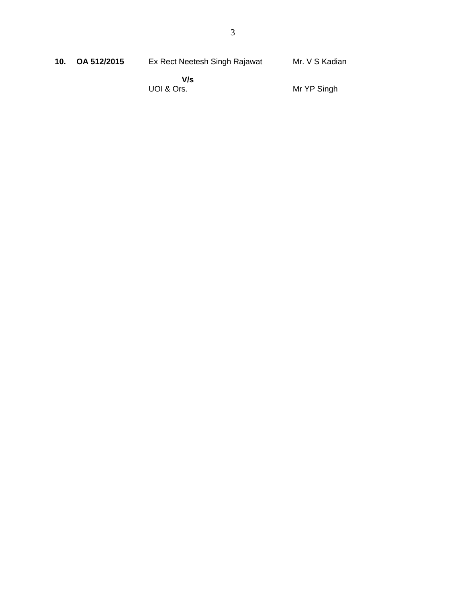| 10 <sub>1</sub> | OA 512/2015 | Ex Rect Neetesh Singh Rajawat | Mr. V S Kadian |
|-----------------|-------------|-------------------------------|----------------|
|                 |             | V/s                           |                |
|                 |             | UOI & Ors.                    | Mr YP Singh    |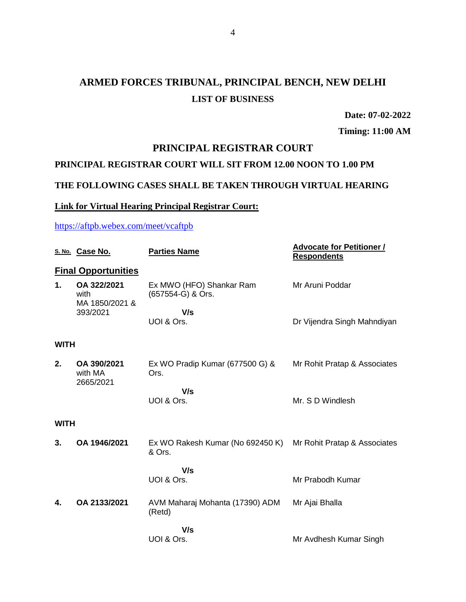# **ARMED FORCES TRIBUNAL, PRINCIPAL BENCH, NEW DELHI LIST OF BUSINESS**

**Date: 07-02-2022**

**Timing: 11:00 AM**

# **PRINCIPAL REGISTRAR COURT**

# **PRINCIPAL REGISTRAR COURT WILL SIT FROM 12.00 NOON TO 1.00 PM**

## **THE FOLLOWING CASES SHALL BE TAKEN THROUGH VIRTUAL HEARING**

## **Link for Virtual Hearing Principal Registrar Court:**

## <https://aftpb.webex.com/meet/vcaftpb>

|             | S. No. Case No.                       | <b>Parties Name</b>                           | <b>Advocate for Petitioner /</b><br><b>Respondents</b> |  |
|-------------|---------------------------------------|-----------------------------------------------|--------------------------------------------------------|--|
|             | <b>Final Opportunities</b>            |                                               |                                                        |  |
| 1.          | OA 322/2021<br>with<br>MA 1850/2021 & | Ex MWO (HFO) Shankar Ram<br>(657554-G) & Ors. | Mr Aruni Poddar                                        |  |
|             | 393/2021                              | V/s                                           |                                                        |  |
|             |                                       | UOI & Ors.                                    | Dr Vijendra Singh Mahndiyan                            |  |
| <b>WITH</b> |                                       |                                               |                                                        |  |
| 2.          | OA 390/2021<br>with MA<br>2665/2021   | Ex WO Pradip Kumar (677500 G) &<br>Ors.       | Mr Rohit Pratap & Associates                           |  |
|             |                                       | V/s                                           |                                                        |  |
|             |                                       | UOI & Ors.                                    | Mr. S D Windlesh                                       |  |
| <b>WITH</b> |                                       |                                               |                                                        |  |
| 3.          | OA 1946/2021                          | Ex WO Rakesh Kumar (No 692450 K)<br>& Ors.    | Mr Rohit Pratap & Associates                           |  |
|             |                                       | V/s<br>UOI & Ors.                             | Mr Prabodh Kumar                                       |  |
| 4.          | OA 2133/2021                          | AVM Maharaj Mohanta (17390) ADM<br>(Retd)     | Mr Ajai Bhalla                                         |  |
|             |                                       | V/s<br>UOI & Ors.                             |                                                        |  |
|             |                                       |                                               | Mr Avdhesh Kumar Singh                                 |  |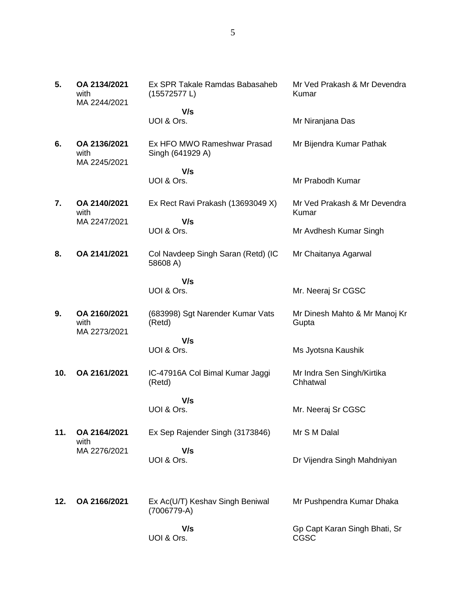| 5.  | OA 2134/2021<br>with<br>MA 2244/2021 | Ex SPR Takale Ramdas Babasaheb<br>(15572577 L)  | Mr Ved Prakash & Mr Devendra<br>Kumar  |
|-----|--------------------------------------|-------------------------------------------------|----------------------------------------|
|     |                                      | V/s                                             |                                        |
|     |                                      | UOI & Ors.                                      | Mr Niranjana Das                       |
| 6.  | OA 2136/2021<br>with<br>MA 2245/2021 | Ex HFO MWO Rameshwar Prasad<br>Singh (641929 A) | Mr Bijendra Kumar Pathak               |
|     |                                      | V/s                                             |                                        |
|     |                                      | UOI & Ors.                                      | Mr Prabodh Kumar                       |
| 7.  | OA 2140/2021<br>with                 | Ex Rect Ravi Prakash (13693049 X)               | Mr Ved Prakash & Mr Devendra<br>Kumar  |
|     | MA 2247/2021                         | V/s<br>UOI & Ors.                               | Mr Avdhesh Kumar Singh                 |
| 8.  | OA 2141/2021                         | Col Navdeep Singh Saran (Retd) (IC<br>58608 A)  | Mr Chaitanya Agarwal                   |
|     |                                      | V/s<br>UOI & Ors.                               | Mr. Neeraj Sr CGSC                     |
| 9.  | OA 2160/2021<br>with<br>MA 2273/2021 | (683998) Sgt Narender Kumar Vats<br>(Retd)      | Mr Dinesh Mahto & Mr Manoj Kr<br>Gupta |
|     |                                      | V/s<br>UOI & Ors.                               | Ms Jyotsna Kaushik                     |
| 10. | OA 2161/2021                         | IC-47916A Col Bimal Kumar Jaggi<br>(Retd)       | Mr Indra Sen Singh/Kirtika<br>Chhatwal |
|     |                                      | V/s<br>UOI & Ors.                               | Mr. Neeraj Sr CGSC                     |
| 11. | OA 2164/2021<br>with                 | Ex Sep Rajender Singh (3173846)                 | Mr S M Dalal                           |
|     | MA 2276/2021                         | V/s<br>UOI & Ors.                               | Dr Vijendra Singh Mahdniyan            |
| 12. | OA 2166/2021                         | Ex Ac(U/T) Keshav Singh Beniwal<br>(7006779-A)  | Mr Pushpendra Kumar Dhaka              |
|     |                                      | V/s<br>UOI & Ors.                               | Gp Capt Karan Singh Bhati, Sr<br>CGSC  |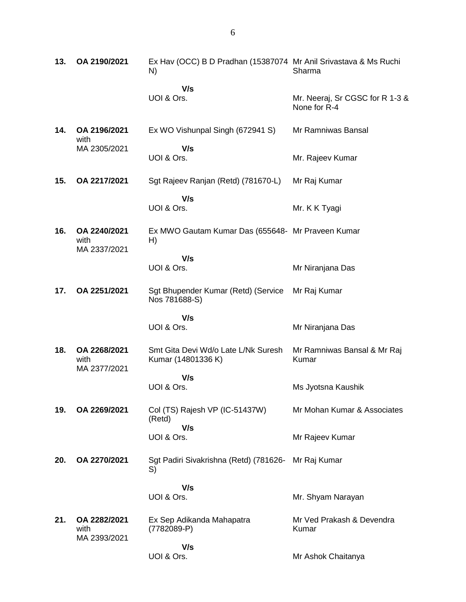**13. OA 2190/2021** Ex Hav (OCC) B D Pradhan (15387074 Mr Anil Srivastava & Ms Ruchi N)  **V/s** UOI & Ors. Sharma Mr. Neeraj, Sr CGSC for R 1-3 & None for R-4 **14. OA 2196/2021** with MA 2305/2021 Ex WO Vishunpal Singh (672941 S)  **V/s** UOI & Ors. Mr Ramniwas Bansal Mr. Rajeev Kumar **15. OA 2217/2021** Sgt Rajeev Ranjan (Retd) (781670-L)  **V/s** UOI & Ors. Mr Raj Kumar Mr. K K Tyagi **16. OA 2240/2021** with MA 2337/2021 Ex MWO Gautam Kumar Das (655648- Mr Praveen Kumar H)  **V/s** UOI & Ors. Mr Niranjana Das **17. OA 2251/2021** Sgt Bhupender Kumar (Retd) (Service Nos 781688-S)  **V/s** UOI & Ors. Mr Raj Kumar Mr Niranjana Das **18. OA 2268/2021** with MA 2377/2021 Smt Gita Devi Wd/o Late L/Nk Suresh Kumar (14801336 K)  **V/s** UOI & Ors. Mr Ramniwas Bansal & Mr Raj Kumar Ms Jyotsna Kaushik **19. OA 2269/2021** Col (TS) Rajesh VP (IC-51437W) (Retd)  **V/s** UOI & Ors. Mr Mohan Kumar & Associates Mr Rajeev Kumar **20. OA 2270/2021** Sgt Padiri Sivakrishna (Retd) (781626- S)  **V/s** UOI & Ors. Mr Raj Kumar Mr. Shyam Narayan **21. OA 2282/2021** with MA 2393/2021 Ex Sep Adikanda Mahapatra (7782089-P)  **V/s** UOI & Ors. Mr Ved Prakash & Devendra Kumar Mr Ashok Chaitanya